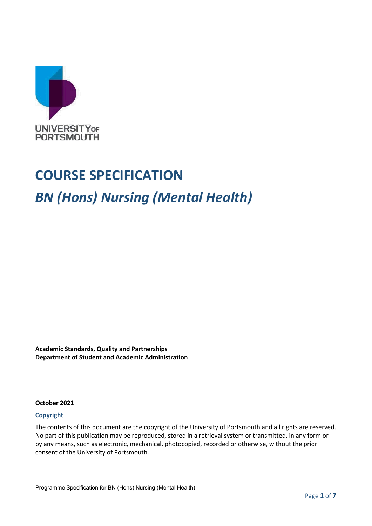

## **COURSE SPECIFICATION**

## *BN (Hons) Nursing (Mental Health)*

**Academic Standards, Quality and Partnerships Department of Student and Academic Administration**

#### **October 2021**

#### **Copyright**

The contents of this document are the copyright of the University of Portsmouth and all rights are reserved. No part of this publication may be reproduced, stored in a retrieval system or transmitted, in any form or by any means, such as electronic, mechanical, photocopied, recorded or otherwise, without the prior consent of the University of Portsmouth.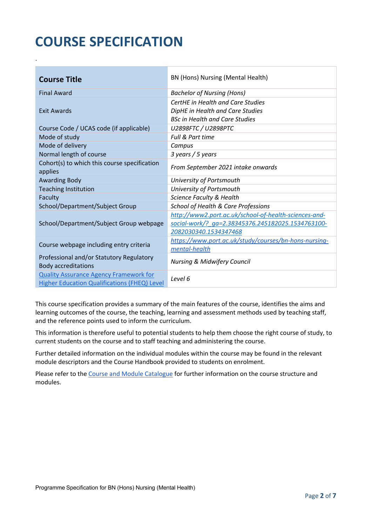# **COURSE SPECIFICATION**

.

| <b>Course Title</b>                                                                                  | BN (Hons) Nursing (Mental Health)                                                                                                   |
|------------------------------------------------------------------------------------------------------|-------------------------------------------------------------------------------------------------------------------------------------|
| <b>Final Award</b>                                                                                   | <b>Bachelor of Nursing (Hons)</b>                                                                                                   |
| <b>Exit Awards</b>                                                                                   | CertHE in Health and Care Studies<br>DipHE in Health and Care Studies<br><b>BSc in Health and Care Studies</b>                      |
| Course Code / UCAS code (if applicable)                                                              | U2898FTC / U2898PTC                                                                                                                 |
| Mode of study                                                                                        | Full & Part time                                                                                                                    |
| Mode of delivery                                                                                     | Campus                                                                                                                              |
| Normal length of course                                                                              | 3 years / 5 years                                                                                                                   |
| Cohort(s) to which this course specification<br>applies                                              | From September 2021 intake onwards                                                                                                  |
| <b>Awarding Body</b>                                                                                 | University of Portsmouth                                                                                                            |
| <b>Teaching Institution</b>                                                                          | University of Portsmouth                                                                                                            |
| Faculty                                                                                              | Science Faculty & Health                                                                                                            |
| School/Department/Subject Group                                                                      | School of Health & Care Professions                                                                                                 |
| School/Department/Subject Group webpage                                                              | http://www2.port.ac.uk/school-of-health-sciences-and-<br>social-work/? ga=2.38345376.245182025.1534763100-<br>2082030340.1534347468 |
| Course webpage including entry criteria                                                              | https://www.port.ac.uk/study/courses/bn-hons-nursing-<br>mental-health                                                              |
| Professional and/or Statutory Regulatory<br><b>Body accreditations</b>                               | <b>Nursing &amp; Midwifery Council</b>                                                                                              |
| <b>Quality Assurance Agency Framework for</b><br><b>Higher Education Qualifications (FHEQ) Level</b> | Level 6                                                                                                                             |

This course specification provides a summary of the main features of the course, identifies the aims and learning outcomes of the course, the teaching, learning and assessment methods used by teaching staff, and the reference points used to inform the curriculum.

This information is therefore useful to potential students to help them choose the right course of study, to current students on the course and to staff teaching and administering the course.

Further detailed information on the individual modules within the course may be found in the relevant module descriptors and the Course Handbook provided to students on enrolment.

Please refer to the [Course and Module Catalogue](https://course-module-catalog.port.ac.uk/#/welcome) for further information on the course structure and modules.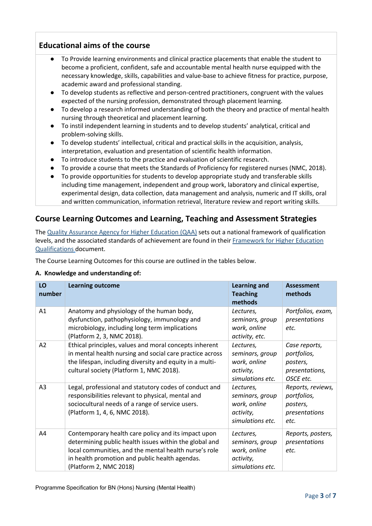## **Educational aims of the course**

- To Provide learning environments and clinical practice placements that enable the student to become a proficient, confident, safe and accountable mental health nurse equipped with the necessary knowledge, skills, capabilities and value-base to achieve fitness for practice, purpose, academic award and professional standing.
- To develop students as reflective and person-centred practitioners, congruent with the values expected of the nursing profession, demonstrated through placement learning.
- To develop a research informed understanding of both the theory and practice of mental health nursing through theoretical and placement learning.
- To instil independent learning in students and to develop students' analytical, critical and problem-solving skills.
- To develop students' intellectual, critical and practical skills in the acquisition, analysis, interpretation, evaluation and presentation of scientific health information.
- To introduce students to the practice and evaluation of scientific research.
- To provide a course that meets the Standards of Proficiency for registered nurses (NMC, 2018).
- To provide opportunities for students to develop appropriate study and transferable skills including time management, independent and group work, laboratory and clinical expertise, experimental design, data collection, data management and analysis, numeric and IT skills, oral and written communication, information retrieval, literature review and report writing skills.

## **Course Learning Outcomes and Learning, Teaching and Assessment Strategies**

The [Quality Assurance Agency for Higher Education \(QAA\)](http://www.qaa.ac.uk/en) sets out a national framework of qualification levels, and the associated standards of achievement are found in their [Framework for Higher Education](http://www.qaa.ac.uk/quality-code/the-existing-uk-quality-code/part-a-setting-and-maintaining-academic-standards)  [Qualifications](http://www.qaa.ac.uk/quality-code/the-existing-uk-quality-code/part-a-setting-and-maintaining-academic-standards) document.

The Course Learning Outcomes for this course are outlined in the tables below.

#### **A. Knowledge and understanding of:**

| LO<br>number   | <b>Learning outcome</b>                                                                                                                                                                                                                            | <b>Learning and</b><br><b>Teaching</b><br>methods                             | <b>Assessment</b><br>methods                                            |
|----------------|----------------------------------------------------------------------------------------------------------------------------------------------------------------------------------------------------------------------------------------------------|-------------------------------------------------------------------------------|-------------------------------------------------------------------------|
| A1             | Anatomy and physiology of the human body,<br>dysfunction, pathophysiology, immunology and<br>microbiology, including long term implications<br>(Platform 2, 3, NMC 2018).                                                                          | Lectures,<br>seminars, group<br>work, online<br>activity, etc.                | Portfolios, exam,<br>presentations<br>etc.                              |
| A2             | Ethical principles, values and moral concepts inherent<br>in mental health nursing and social care practice across<br>the lifespan, including diversity and equity in a multi-<br>cultural society (Platform 1, NMC 2018).                         | Lectures,<br>seminars, group<br>work, online<br>activity,<br>simulations etc. | Case reports,<br>portfolios,<br>posters,<br>presentations,<br>OSCE etc. |
| A <sub>3</sub> | Legal, professional and statutory codes of conduct and<br>responsibilities relevant to physical, mental and<br>sociocultural needs of a range of service users.<br>(Platform 1, 4, 6, NMC 2018).                                                   | Lectures,<br>seminars, group<br>work, online<br>activity,<br>simulations etc. | Reports, reviews,<br>portfolios,<br>posters,<br>presentations<br>etc.   |
| A4             | Contemporary health care policy and its impact upon<br>determining public health issues within the global and<br>local communities, and the mental health nurse's role<br>in health promotion and public health agendas.<br>(Platform 2, NMC 2018) | Lectures,<br>seminars, group<br>work, online<br>activity,<br>simulations etc. | Reports, posters,<br>presentations<br>etc.                              |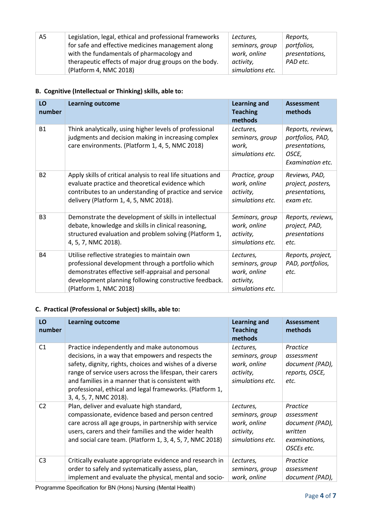| A5 | Legislation, legal, ethical and professional frameworks | Lectures,        | Reports,       |
|----|---------------------------------------------------------|------------------|----------------|
|    | for safe and effective medicines management along       | seminars, group  | portfolios,    |
|    | with the fundamentals of pharmacology and               | work, online     | presentations, |
|    | therapeutic effects of major drug groups on the body.   | activity,        | PAD etc.       |
|    | (Platform 4, NMC 2018)                                  | simulations etc. |                |

## **B. Cognitive (Intellectual or Thinking) skills, able to:**

| LO<br>number   | <b>Learning outcome</b>                                                                                                                                                                                                                      | <b>Learning and</b><br><b>Teaching</b><br>methods                             | <b>Assessment</b><br>methods                                                         |
|----------------|----------------------------------------------------------------------------------------------------------------------------------------------------------------------------------------------------------------------------------------------|-------------------------------------------------------------------------------|--------------------------------------------------------------------------------------|
| <b>B1</b>      | Think analytically, using higher levels of professional<br>judgments and decision making in increasing complex<br>care environments. (Platform 1, 4, 5, NMC 2018)                                                                            | Lectures,<br>seminars, group<br>work,<br>simulations etc.                     | Reports, reviews,<br>portfolios, PAD,<br>presentations,<br>OSCE,<br>Examination etc. |
| <b>B2</b>      | Apply skills of critical analysis to real life situations and<br>evaluate practice and theoretical evidence which<br>contributes to an understanding of practice and service<br>delivery (Platform 1, 4, 5, NMC 2018).                       | Practice, group<br>work, online<br>activity,<br>simulations etc.              | Reviews, PAD,<br>project, posters,<br>presentations,<br>exam etc.                    |
| B <sub>3</sub> | Demonstrate the development of skills in intellectual<br>debate, knowledge and skills in clinical reasoning,<br>structured evaluation and problem solving (Platform 1,<br>4, 5, 7, NMC 2018).                                                | Seminars, group<br>work, online<br>activity,<br>simulations etc.              | Reports, reviews,<br>project, PAD,<br>presentations<br>etc.                          |
| <b>B4</b>      | Utilise reflective strategies to maintain own<br>professional development through a portfolio which<br>demonstrates effective self-appraisal and personal<br>development planning following constructive feedback.<br>(Platform 1, NMC 2018) | Lectures,<br>seminars, group<br>work, online<br>activity,<br>simulations etc. | Reports, project,<br>PAD, portfolios,<br>etc.                                        |

## **C. Practical (Professional or Subject) skills, able to:**

| LO<br>number   | <b>Learning outcome</b>                                                                                                                                                                                                                                                                                                                                            | <b>Learning and</b><br><b>Teaching</b><br>methods                             | <b>Assessment</b><br>methods                                                        |
|----------------|--------------------------------------------------------------------------------------------------------------------------------------------------------------------------------------------------------------------------------------------------------------------------------------------------------------------------------------------------------------------|-------------------------------------------------------------------------------|-------------------------------------------------------------------------------------|
| C <sub>1</sub> | Practice independently and make autonomous<br>decisions, in a way that empowers and respects the<br>safety, dignity, rights, choices and wishes of a diverse<br>range of service users across the lifespan, their carers<br>and families in a manner that is consistent with<br>professional, ethical and legal frameworks. (Platform 1,<br>3, 4, 5, 7, NMC 2018). | Lectures,<br>seminars, group<br>work, online<br>activity,<br>simulations etc. | Practice<br>assessment<br>document (PAD),<br>reports, OSCE,<br>etc.                 |
| C <sub>2</sub> | Plan, deliver and evaluate high standard,<br>compassionate, evidence based and person centred<br>care across all age groups, in partnership with service<br>users, carers and their families and the wider health<br>and social care team. (Platform 1, 3, 4, 5, 7, NMC 2018)                                                                                      | Lectures,<br>seminars, group<br>work, online<br>activity,<br>simulations etc. | Practice<br>assessment<br>document (PAD),<br>written<br>examinations,<br>OSCEs etc. |
| C <sub>3</sub> | Critically evaluate appropriate evidence and research in<br>order to safely and systematically assess, plan,<br>implement and evaluate the physical, mental and socio-                                                                                                                                                                                             | Lectures,<br>seminars, group<br>work, online                                  | Practice<br>assessment<br>document (PAD),                                           |

Programme Specification for BN (Hons) Nursing (Mental Health)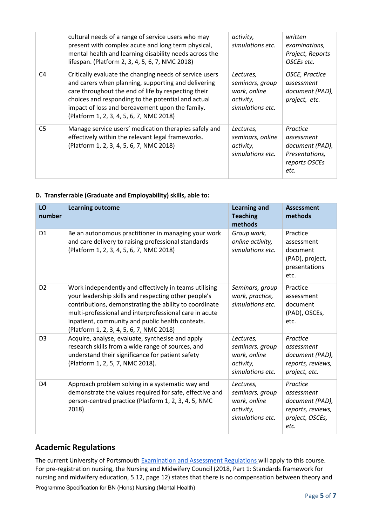|                | cultural needs of a range of service users who may<br>present with complex acute and long term physical,<br>mental health and learning disability needs across the<br>lifespan. (Platform 2, 3, 4, 5, 6, 7, NMC 2018)                                                                                                      | activity,<br>simulations etc.                                                 | written<br>examinations,<br>Project, Reports<br>OSCEs etc.                           |
|----------------|----------------------------------------------------------------------------------------------------------------------------------------------------------------------------------------------------------------------------------------------------------------------------------------------------------------------------|-------------------------------------------------------------------------------|--------------------------------------------------------------------------------------|
| C <sub>4</sub> | Critically evaluate the changing needs of service users<br>and carers when planning, supporting and delivering<br>care throughout the end of life by respecting their<br>choices and responding to the potential and actual<br>impact of loss and bereavement upon the family.<br>(Platform 1, 2, 3, 4, 5, 6, 7, NMC 2018) | Lectures,<br>seminars, group<br>work, online<br>activity,<br>simulations etc. | <b>OSCE, Practice</b><br>assessment<br>document (PAD),<br>project, etc.              |
| C <sub>5</sub> | Manage service users' medication therapies safely and<br>effectively within the relevant legal frameworks.<br>(Platform 1, 2, 3, 4, 5, 6, 7, NMC 2018)                                                                                                                                                                     | Lectures,<br>seminars, online<br>activity,<br>simulations etc.                | Practice<br>assessment<br>document (PAD),<br>Presentations,<br>reports OSCEs<br>etc. |

#### **D. Transferrable (Graduate and Employability) skills, able to:**

| LO<br>number   | <b>Learning outcome</b>                                                                                                                                                                                                                                                                                                           | <b>Learning and</b><br><b>Teaching</b><br>methods                             | <b>Assessment</b><br>methods                                                              |
|----------------|-----------------------------------------------------------------------------------------------------------------------------------------------------------------------------------------------------------------------------------------------------------------------------------------------------------------------------------|-------------------------------------------------------------------------------|-------------------------------------------------------------------------------------------|
| D <sub>1</sub> | Be an autonomous practitioner in managing your work<br>and care delivery to raising professional standards<br>(Platform 1, 2, 3, 4, 5, 6, 7, NMC 2018)                                                                                                                                                                            | Group work,<br>online activity,<br>simulations etc.                           | Practice<br>assessment<br>document<br>(PAD), project,<br>presentations<br>etc.            |
| D <sub>2</sub> | Work independently and effectively in teams utilising<br>your leadership skills and respecting other people's<br>contributions, demonstrating the ability to coordinate<br>multi-professional and interprofessional care in acute<br>inpatient, community and public health contexts.<br>(Platform 1, 2, 3, 4, 5, 6, 7, NMC 2018) | Seminars, group<br>work, practice,<br>simulations etc.                        | Practice<br>assessment<br>document<br>(PAD), OSCEs,<br>etc.                               |
| D <sub>3</sub> | Acquire, analyse, evaluate, synthesise and apply<br>research skills from a wide range of sources, and<br>understand their significance for patient safety<br>(Platform 1, 2, 5, 7, NMC 2018).                                                                                                                                     | Lectures,<br>seminars, group<br>work, online<br>activity,<br>simulations etc. | Practice<br>assessment<br>document (PAD),<br>reports, reviews,<br>project, etc.           |
| D <sub>4</sub> | Approach problem solving in a systematic way and<br>demonstrate the values required for safe, effective and<br>person-centred practice (Platform 1, 2, 3, 4, 5, NMC<br>2018)                                                                                                                                                      | Lectures,<br>seminars, group<br>work, online<br>activity,<br>simulations etc. | Practice<br>assessment<br>document (PAD),<br>reports, reviews,<br>project, OSCEs,<br>etc. |

## **Academic Regulations**

The current University of Portsmouth [Examination and Assessment](https://policies.docstore.port.ac.uk/policy-107.pdf?_ga=2.131457675.540844788.1634122712-192857226.1625573931) [Regulations](https://policies.docstore.port.ac.uk/policy-107.pdf?_ga=2.131457675.540844788.1634122712-192857226.1625573931) will apply to this course. For pre-registration nursing, the Nursing and Midwifery Council (2018, Part 1: Standards framework for nursing and midwifery education, 5.12, page 12) states that there is no compensation between theory and

Programme Specification for BN (Hons) Nursing (Mental Health)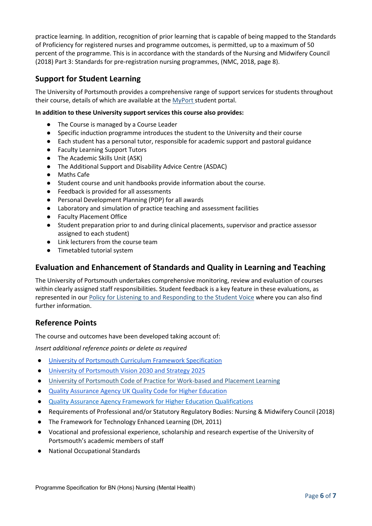practice learning. In addition, recognition of prior learning that is capable of being mapped to the Standards of Proficiency for registered nurses and programme outcomes, is permitted, up to a maximum of 50 percent of the programme. This is in accordance with the standards of the Nursing and Midwifery Council (2018) Part 3: Standards for pre-registration nursing programmes, (NMC, 2018, page 8).

## **Support for Student Learning**

The University of Portsmouth provides a comprehensive range of support services for students throughout their course, details of which are available at the [MyPort](http://myport.ac.uk/) student portal.

#### **In addition to these University support services this course also provides:**

- The Course is managed by a Course Leader
- Specific induction programme introduces the student to the University and their course
- Each student has a personal tutor, responsible for academic support and pastoral guidance
- Faculty Learning Support Tutors
- The Academic Skills Unit (ASK)
- The Additional Support and Disability Advice Centre (ASDAC)
- Maths Cafe
- Student course and unit handbooks provide information about the course.
- Feedback is provided for all assessments
- Personal Development Planning (PDP) for all awards
- Laboratory and simulation of practice teaching and assessment facilities
- Faculty Placement Office
- Student preparation prior to and during clinical placements, supervisor and practice assessor assigned to each student)
- Link lecturers from the course team
- Timetabled tutorial system

## **Evaluation and Enhancement of Standards and Quality in Learning and Teaching**

The University of Portsmouth undertakes comprehensive monitoring, review and evaluation of courses within clearly assigned staff responsibilities. Student feedback is a key feature in these evaluations, as represented in our [Policy for Listening to and Responding to the Student Voice](http://policies.docstore.port.ac.uk/policy-069.pdf) where you can also find further information.

### **Reference Points**

The course and outcomes have been developed taking account of:

*Insert additional reference points or delete as required*

- [University of Portsmouth Curriculum Framework Specification](http://policies.docstore.port.ac.uk/policy-217.pdf)
- [University of Portsmouth Vision 2030 and Strategy 2025](https://www.port.ac.uk/about-us/our-ambition/our-strategy)
- [University of Portsmouth Code of Practice for Work-based](http://policies.docstore.port.ac.uk/policy-151.pdf) and Placement Learning
- [Quality Assurance Agency UK Quality Code for Higher Education](https://www.qaa.ac.uk/quality-code)
- [Quality Assurance Agency Framework for Higher Education Qualifications](http://www.qaa.ac.uk/quality-code/the-existing-uk-quality-code/part-a-setting-and-maintaining-academic-standards)
- Requirements of Professional and/or Statutory Regulatory Bodies: Nursing & Midwifery Council (2018)
- The Framework for Technology Enhanced Learning (DH, 2011)
- Vocational and professional experience, scholarship and research expertise of the University of Portsmouth's academic members of staff
- **National Occupational Standards**